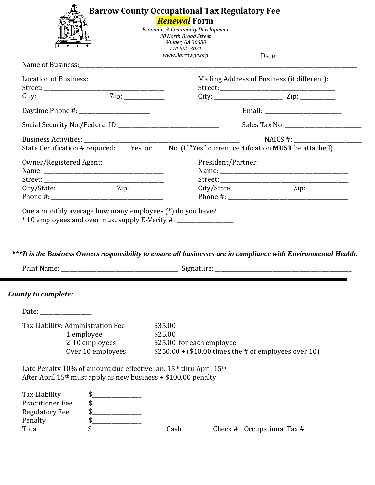|                                                   | <b>Renewal Form</b>                                                                                          |  |  |
|---------------------------------------------------|--------------------------------------------------------------------------------------------------------------|--|--|
|                                                   | Economic & Community Development                                                                             |  |  |
|                                                   | 30 North Broad Street<br>Winder, GA 30680                                                                    |  |  |
|                                                   | 770-307-3021                                                                                                 |  |  |
|                                                   | www.Barrowga.org                                                                                             |  |  |
|                                                   |                                                                                                              |  |  |
| <b>Location of Business:</b>                      | Mailing Address of Business (if different):                                                                  |  |  |
|                                                   |                                                                                                              |  |  |
|                                                   |                                                                                                              |  |  |
|                                                   |                                                                                                              |  |  |
|                                                   |                                                                                                              |  |  |
|                                                   | NAICS #:                                                                                                     |  |  |
|                                                   | State Certification # required: ____Yes or _____ No (If "Yes" current certification <b>MUST</b> be attached) |  |  |
| Owner/Registered Agent:                           | President/Partner:                                                                                           |  |  |
|                                                   |                                                                                                              |  |  |
|                                                   |                                                                                                              |  |  |
| City/State: _____________________Zip: ___________ |                                                                                                              |  |  |
|                                                   |                                                                                                              |  |  |

*\*\*\*It is the Business Owners responsibility to ensure all businesses are in compliance with Environmental Health.*

| Print<br>: Name. | .) iku duu |
|------------------|------------|
|------------------|------------|

## *County to complete:*

| Date:                                                                                                                                                          |                                                                                                          |         |                    |  |  |  |
|----------------------------------------------------------------------------------------------------------------------------------------------------------------|----------------------------------------------------------------------------------------------------------|---------|--------------------|--|--|--|
| Tax Liability: Administration Fee<br>1 employee<br>2-10 employees<br>Over 10 employees                                                                         | \$35.00<br>\$25.00<br>\$25.00 for each employee<br>$$250.00 + ($10.00 times the # of employees over 10)$ |         |                    |  |  |  |
| Late Penalty 10% of amount due effective Jan. 15 <sup>th</sup> thru April 15 <sup>th</sup><br>After April $15th$ must apply as new business + \$100.00 penalty |                                                                                                          |         |                    |  |  |  |
| Tax Liability<br><b>Practitioner Fee</b><br><b>Regulatory Fee</b><br>\$<br>Penalty<br>Total                                                                    | Cash                                                                                                     | Check # | Occupational Tax # |  |  |  |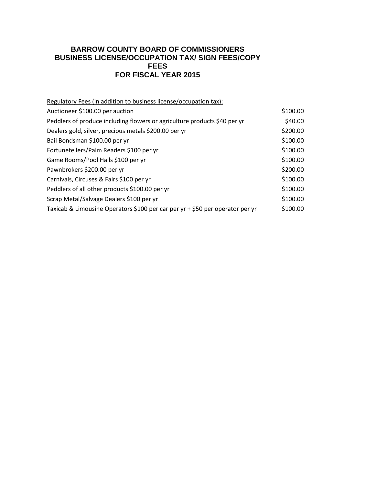## **BARROW COUNTY BOARD OF COMMISSIONERS BUSINESS LICENSE/OCCUPATION TAX/ SIGN FEES/COPY FEES FOR FISCAL YEAR 2015**

| Regulatory Fees (in addition to business license/occupation tax):             |          |
|-------------------------------------------------------------------------------|----------|
| Auctioneer \$100.00 per auction                                               | \$100.00 |
| Peddlers of produce including flowers or agriculture products \$40 per yr     | \$40.00  |
| Dealers gold, silver, precious metals \$200.00 per yr                         | \$200.00 |
| Bail Bondsman \$100.00 per yr                                                 | \$100.00 |
| Fortunetellers/Palm Readers \$100 per yr                                      | \$100.00 |
| Game Rooms/Pool Halls \$100 per yr                                            | \$100.00 |
| Pawnbrokers \$200.00 per yr                                                   | \$200.00 |
| Carnivals, Circuses & Fairs \$100 per yr                                      | \$100.00 |
| Peddlers of all other products \$100.00 per yr                                | \$100.00 |
| Scrap Metal/Salvage Dealers \$100 per yr                                      | \$100.00 |
| Taxicab & Limousine Operators \$100 per car per yr + \$50 per operator per yr | \$100.00 |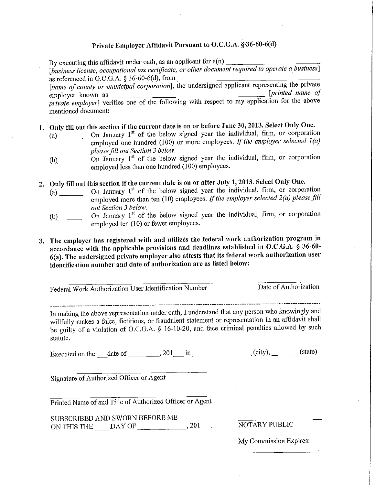## Private Employer Affidavit Pursuant to O.C.G.A. § 36-60-6(d)

By executing this affidavit under oath, as an applicant for a(n)

[business license, occupational tax certificate, or other document required to operate a business] as referenced in O.C.G.A.  $\S 36-60-6(d)$ , from

[name of county or municipal corporation], the undersigned applicant representing the private [printed name of employer known as private employer] verifies one of the following with respect to my application for the above mentioned document:

- 1. Only fill out this section if the current date is on or before June 30, 2013. Select Only One.
	- On January 1<sup>st</sup> of the below signed year the individual, firm, or corporation  $(a)$ employed one hundred (100) or more employees. If the employer selected  $1(a)$ please fill out Section 3 below.
	- On January  $1<sup>st</sup>$  of the below signed year the individual, firm, or corporation  $(b)$ employed less than one hundred (100) employees.
- 2. Only fill out this section if the current date is on or after July 1, 2013. Select Only One.
	- On January 1<sup>st</sup> of the below signed year the individual, firm, or corporation employed more than ten  $(10)$  employees. If the employer selected  $2(a)$  please fill out Section 3 below.
	- On January 1<sup>st</sup> of the below signed year the individual, firm, or corporation  $(b)$ employed ten (10) or fewer employees.
- 3. The employer has registered with and utilizes the federal work authorization program in accordance with the applicable provisions and deadlines established in O.C.G.A.  $\tilde{8}$  36-60-6(a). The undersigned private employer also attests that its federal work authorization user identification number and date of authorization are as listed below:

Federal Work Authorization User Identification Number

Date of Authorization

In making the above representation under oath, I understand that any person who knowingly and willfully makes a false, fictitious, or fraudulent statement or representation in an affidavit shall be guilty of a violation of O.C.G.A. § 16-10-20, and face criminal penalties allowed by such statute.

Executed on the date of  $\qquad \qquad$  201 in  $\qquad \qquad$  (city), (state)

Signature of Authorized Officer or Agent

Printed Name of and Title of Authorized Officer or Agent

SUBSCRIBED AND SWORN BEFORE ME ON THIS THE  $\_\_$ DAY OF  $\_\_$ 

NOTARY PUBLIC

My Commission Expires: